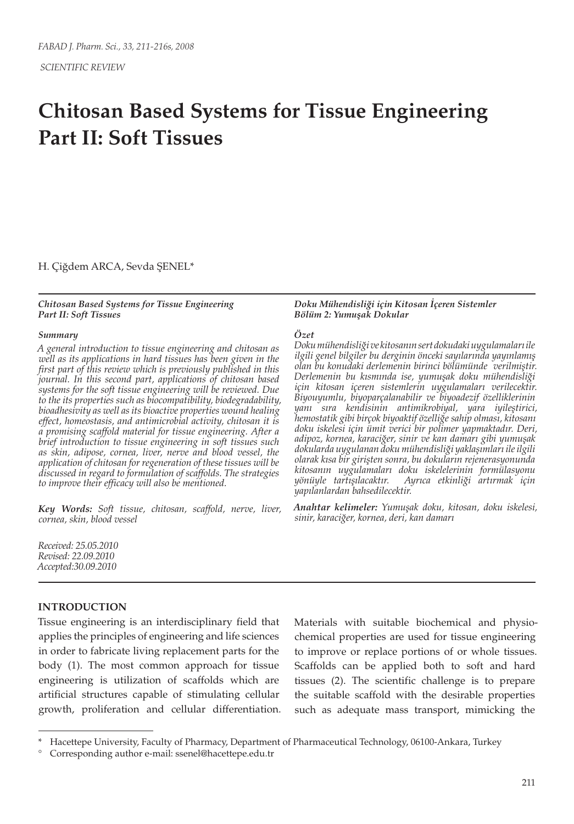# **Chitosan Based Systems for Tissue Engineering Part II: Soft Tissues**

H. Çiğdem ARCA, Sevda ŞENEL\*

### *Chitosan Based Systems for Tissue Engineering Part II: Soft Tissues*

## *Summary*

*A general introduction to tissue engineering and chitosan as well as its applications in hard tissues has been given in the first part of this review which is previously published in this journal. In this second part, applications of chitosan based systems for the soft tissue engineering will be reviewed. Due to the its properties such as biocompatibility, biodegradability, bioadhesivity as well as its bioactive properties wound healing effect, homeostasis, and antimicrobial activity, chitosan it is a promising scaffold material for tissue engineering. After a brief introduction to tissue engineering in soft tissues such as skin, adipose, cornea, liver, nerve and blood vessel, the application of chitosan for regeneration of these tissues will be discussed in regard to formulation of scaffolds. The strategies to improve their efficacy will also be mentioned.*

*Key Words: Soft tissue, chitosan, scaffold, nerve, liver, cornea, skin, blood vessel*

*Received: 25.05.2010 Revised: 22.09.2010 Accepted:30.09.2010*

## **INTRODUCTION**

Tissue engineering is an interdisciplinary field that applies the principles of engineering and life sciences in order to fabricate living replacement parts for the body (1). The most common approach for tissue engineering is utilization of scaffolds which are artificial structures capable of stimulating cellular growth, proliferation and cellular differentiation. Materials with suitable biochemical and physiochemical properties are used for tissue engineering to improve or replace portions of or whole tissues. Scaffolds can be applied both to soft and hard tissues (2). The scientific challenge is to prepare the suitable scaffold with the desirable properties such as adequate mass transport, mimicking the

#### *Doku Mühendisliği için Kitosan İçeren Sistemler Bölüm 2: Yumuşak Dokular*

## *Özet*

*Doku mühendisliği ve kitosanın sert dokudaki uygulamaları ile ilgili genel bilgiler bu derginin önceki sayılarında yayınlamış olan bu konudaki derlemenin birinci bölümünde verilmiştir. Derlemenin bu kısmında ise, yumuşak doku mühendisliği için kitosan içeren sistemlerin uygulamaları verilecektir. Biyouyumlu, biyoparçalanabilir ve biyoadezif özelliklerinin yanı sıra kendisinin antimikrobiyal, yara iyileştirici, hemostatik gibi birçok biyoaktif özelliğe sahip olması, kitosanı doku iskelesi için ümit verici bir polimer yapmaktadır. Deri, adipoz, kornea, karaciğer, sinir ve kan damarı gibi yumuşak dokularda uygulanan doku mühendisliği yaklaşımları ile ilgili olarak kısa bir girişten sonra, bu dokuların rejenerasyonunda kitosanın uygulamaları doku iskelelerinin formülasyonu yönüyle tartışılacaktır. Ayrıca etkinliği artırmak için yapılanlardan bahsedilecektir.*

*Anahtar kelimeler: Yumuşak doku, kitosan, doku iskelesi, sinir, karaciğer, kornea, deri, kan damarı*

Hacettepe University, Faculty of Pharmacy, Department of Pharmaceutical Technology, 06100-Ankara, Turkey

<sup>°</sup> Corresponding author e-mail: ssenel@hacettepe.edu.tr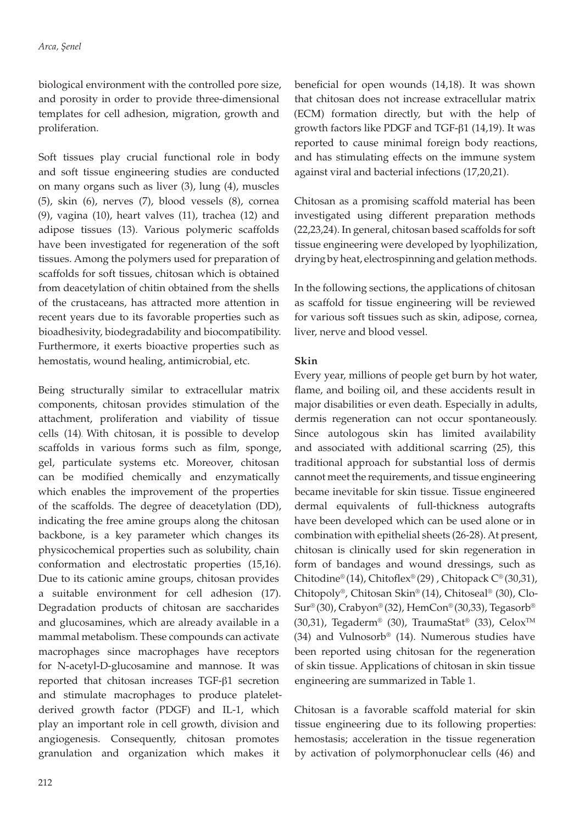biological environment with the controlled pore size, and porosity in order to provide three-dimensional templates for cell adhesion, migration, growth and proliferation.

Soft tissues play crucial functional role in body and soft tissue engineering studies are conducted on many organs such as liver (3), lung (4), muscles (5), skin (6), nerves (7), blood vessels (8), cornea (9), vagina (10), heart valves (11), trachea (12) and adipose tissues (13). Various polymeric scaffolds have been investigated for regeneration of the soft tissues. Among the polymers used for preparation of scaffolds for soft tissues, chitosan which is obtained from deacetylation of chitin obtained from the shells of the crustaceans, has attracted more attention in recent years due to its favorable properties such as bioadhesivity, biodegradability and biocompatibility. Furthermore, it exerts bioactive properties such as hemostatis, wound healing, antimicrobial, etc.

Being structurally similar to extracellular matrix components, chitosan provides stimulation of the attachment, proliferation and viability of tissue cells (14). With chitosan, it is possible to develop scaffolds in various forms such as film, sponge, gel, particulate systems etc. Moreover, chitosan can be modified chemically and enzymatically which enables the improvement of the properties of the scaffolds. The degree of deacetylation (DD), indicating the free amine groups along the chitosan backbone, is a key parameter which changes its physicochemical properties such as solubility, chain conformation and electrostatic properties (15,16). Due to its cationic amine groups, chitosan provides a suitable environment for cell adhesion (17). Degradation products of chitosan are saccharides and glucosamines, which are already available in a mammal metabolism. These compounds can activate macrophages since macrophages have receptors for N-acetyl-D-glucosamine and mannose. It was reported that chitosan increases TGF-β1 secretion and stimulate macrophages to produce plateletderived growth factor (PDGF) and IL-1, which play an important role in cell growth, division and angiogenesis. Consequently, chitosan promotes granulation and organization which makes it

reported to cause minimal foreign body reactions, and has stimulating effects on the immune system against viral and bacterial infections (17,20,21). Chitosan as a promising scaffold material has been investigated using different preparation methods (22,23,24). In general, chitosan based scaffolds for soft tissue engineering were developed by lyophilization,

> In the following sections, the applications of chitosan as scaffold for tissue engineering will be reviewed for various soft tissues such as skin, adipose, cornea, liver, nerve and blood vessel.

> drying by heat, electrospinning and gelation methods.

beneficial for open wounds (14,18). It was shown that chitosan does not increase extracellular matrix (ECM) formation directly, but with the help of growth factors like PDGF and TGF-β1 (14,19). It was

# **Skin**

Every year, millions of people get burn by hot water, flame, and boiling oil, and these accidents result in major disabilities or even death. Especially in adults, dermis regeneration can not occur spontaneously. Since autologous skin has limited availability and associated with additional scarring (25), this traditional approach for substantial loss of dermis cannot meet the requirements, and tissue engineering became inevitable for skin tissue. Tissue engineered dermal equivalents of full-thickness autografts have been developed which can be used alone or in combination with epithelial sheets (26-28). At present, chitosan is clinically used for skin regeneration in form of bandages and wound dressings, such as Chitodine® (14), Chitoflex® (29), Chitopack  $C^{\circ}$  (30,31), Chitopoly®, Chitosan Skin® (14), Chitoseal® (30), Clo-Sur® (30), Crabyon® (32), HemCon® (30,33), Tegasorb® (30,31), Tegaderm® (30), TraumaStat® (33), Celox<sup>™</sup> (34) and Vulnosorb® (14). Numerous studies have been reported using chitosan for the regeneration of skin tissue. Applications of chitosan in skin tissue engineering are summarized in Table 1.

Chitosan is a favorable scaffold material for skin tissue engineering due to its following properties: hemostasis; acceleration in the tissue regeneration by activation of polymorphonuclear cells (46) and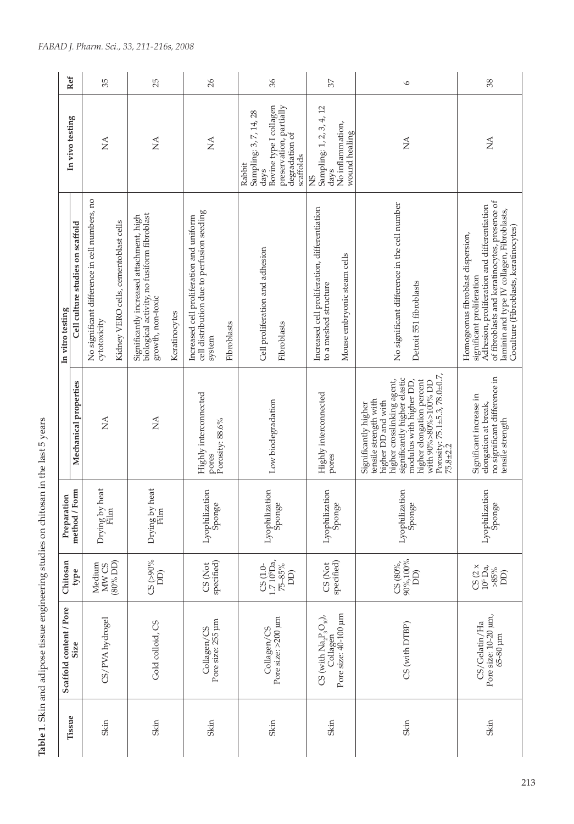| Ref<br>In vivo testing            | 35<br>ΧÁ                                                 |                                       |                                                                                         | 25<br>$\lessapprox$ |               | 26<br>$\mathbb{A}$                                                                     |                 | Sampling: 3, 7, 14, 28 | 96<br>Bovine type I collagen<br>preservation, partially | Sampling: 1, 2, 3, 4, 12                                               | 57                                                                                     | $\circ$<br>$\lessapprox$                                                                                                                                                                                                                                       |
|-----------------------------------|----------------------------------------------------------|---------------------------------------|-----------------------------------------------------------------------------------------|---------------------|---------------|----------------------------------------------------------------------------------------|-----------------|------------------------|---------------------------------------------------------|------------------------------------------------------------------------|----------------------------------------------------------------------------------------|----------------------------------------------------------------------------------------------------------------------------------------------------------------------------------------------------------------------------------------------------------------|
|                                   |                                                          |                                       |                                                                                         |                     |               |                                                                                        |                 | Rabbit                 | degradation of<br>scaffolds<br>days                     | SN                                                                     | No inflammation,<br>wound healing<br>days                                              |                                                                                                                                                                                                                                                                |
|                                   | No significant difference in cell numbers, no            | Kidney VERO cells, cementoblast cells | biological activity, no fusiform fibroblast<br>Significantly increased attachment, high |                     |               | cell distribution due to perfusion seeding<br>Increased cell proliferation and uniform |                 |                        | Cell proliferation and adhesion                         | Increased cell proliferation, differentiation<br>to a meshed structure | Mouse embryonic steam cells                                                            | No significant difference in the cell number<br>Detroit 551 fibroblasts                                                                                                                                                                                        |
| cytotoxicity                      |                                                          |                                       | growth, non-toxic                                                                       |                     | Keratinocytes | system                                                                                 | Fibroblasts     |                        | Fibroblasts                                             |                                                                        |                                                                                        |                                                                                                                                                                                                                                                                |
| Mechanical properties             | $\mathop{\leq}\limits_{{\mathop{\rm l\negthinspace L}}}$ |                                       | $\lesssim$                                                                              |                     |               | Highly interconnected<br>pores                                                         | Porosity: 88.6% |                        | Low biodegradation                                      | Highly interconnected                                                  | pores                                                                                  | Porosity: 75.1±5.3, 78.0±0.7,<br>75.8±2.2<br>significantly higher elastic<br>higher elongation percent<br>modulus with higher DD,<br>higher crosslinking agent,<br>with 90%>80%>100% DD<br>tensile strength with<br>higher DD and with<br>Significantly higher |
|                                   | Drying by heat<br>Film                                   |                                       | Drying by heat<br>Film                                                                  |                     |               | Lyophilization<br>Sponge                                                               |                 |                        | Lyophilization<br>Sponge                                | Lyophilization                                                         | Sponge                                                                                 | Lyophilization<br>Sponge                                                                                                                                                                                                                                       |
|                                   | Medium<br>MW <sub>CS</sub>                               | $(30\%$ DD)                           | $CS$ (>90%<br>$\overline{D}$                                                            |                     |               | specified)<br>CS (Not                                                                  |                 |                        | 1.710 <sup>5</sup> Da<br>75-85%<br>$CS(1.0-$<br>DD)     | CS (Not                                                                | specified)                                                                             | 90%,100%<br>$CS$ (80%,<br>$\widehat{\text{DD}}$                                                                                                                                                                                                                |
| <b>Size</b>                       | CS/PVA hydrogel                                          |                                       | Gold colloid, CS                                                                        |                     |               | Pore size: 255 µm<br>Collagen/CS                                                       |                 |                        | Pore size: >200 µm<br>Collagen/CS                       |                                                                        | Pore size: 40-100 µm<br>$CS$ (with $\text{Na}_2\text{P}_3\text{O}_{10}$ ),<br>Collagen | CS (with DTBP)                                                                                                                                                                                                                                                 |
| Scaffold content / Pore<br>Tissue | Skin                                                     |                                       | Skin                                                                                    |                     |               | Skin                                                                                   |                 |                        | Skin                                                    | Skin                                                                   |                                                                                        | Skin                                                                                                                                                                                                                                                           |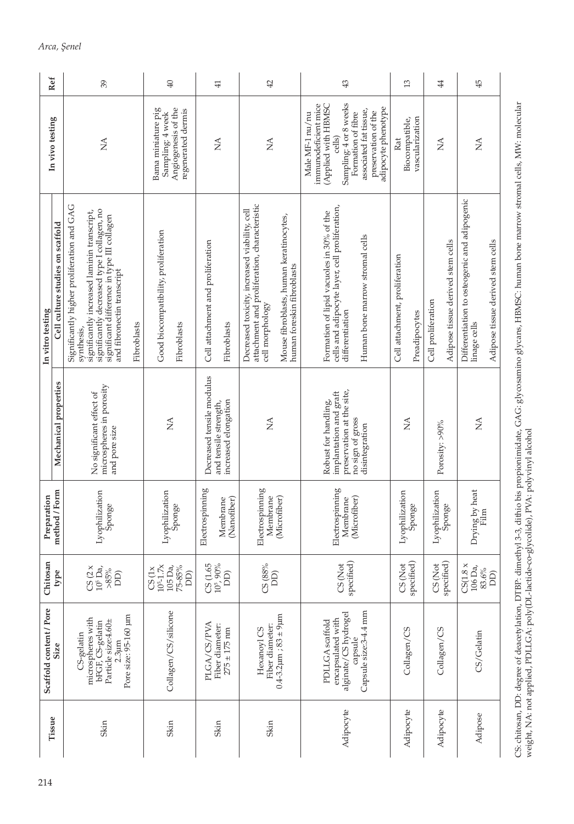|                                                                                                                                                                                                                                     | 39          | 40                                                                                  | $\overline{41}$                                                            | $42$                                                                                                                                                                                      | 43                                                                                                                                                                                               | 13                                              | $\overline{4}$                                              |
|-------------------------------------------------------------------------------------------------------------------------------------------------------------------------------------------------------------------------------------|-------------|-------------------------------------------------------------------------------------|----------------------------------------------------------------------------|-------------------------------------------------------------------------------------------------------------------------------------------------------------------------------------------|--------------------------------------------------------------------------------------------------------------------------------------------------------------------------------------------------|-------------------------------------------------|-------------------------------------------------------------|
| $\sum_{i=1}^{n}$                                                                                                                                                                                                                    |             | Angiogenesis of the<br>Bama miniature pig<br>regenerated dermis<br>Sampling: 4 week | Ź                                                                          | $\sum_{i=1}^{n}$                                                                                                                                                                          | Sampling: 4 or 8 weeks<br>(Applied with HBMSC<br>immunodeficient mice<br>adipocyte phenotype<br>associated fat tissue,<br>preservation of the<br>Male MF-1 nu/nu<br>Formation of fibre<br>cells) | vascularization<br>Biocompatible,<br>Rat        | $\mathop{\leq}\limits_{{\mathop{\rm \mathsf{X}}\nolimits}}$ |
| Significantly higher proliferation and GAG<br>significantly decreased type I collagen, no<br>significantly increased laminin transcript,<br>significant difference in type III collagen<br>and fibronectin transcript<br>synthesis, | Fibroblasts | Good biocompatibility, proliferation<br>Fibroblasts                                 | Cell attachment and proliferation<br>Fibroblasts                           | attachment and proliferation, characteristic<br>Decreased toxicity, increased viability, cell<br>Mouse fibroblasts, human keratinocytes,<br>human foreskin fibroblasts<br>cell morphology | cells and adipocyte layer, cell proliferation,<br>Formation of lipid vacuoles in 30% of the<br>Human bone marrow stromal cells<br>differentiation                                                | Cell attachment, proliferation<br>Preadipocytes | Adipose tissue derived stem cells<br>Cell proliferation     |
| microspheres in porosity<br>No significant effect of<br>and pore size                                                                                                                                                               |             | $\frac{\mathcal{A}}{\mathcal{A}}$                                                   | Decreased tensile modulus<br>increased elongation<br>and tensile strength, | $\mathbb{Z}$                                                                                                                                                                              | preservation at the site,<br>implantation and graft<br>Robust for handling,<br>no sign of gross<br>disintegration                                                                                | $\mathbb{E}$                                    | Porosity: >90%                                              |
| Lyophilization<br>Sponge                                                                                                                                                                                                            |             | Lyophilization<br>Sponge                                                            | Electrospinning<br>(Nanofiber)<br>Membrane                                 | Electrospinning<br>Membrane<br>(Microfiber)                                                                                                                                               | Electrospinning<br>(Microfiber)<br>Membrane                                                                                                                                                      | Lyophilization<br>Sponge                        | Lyophilization<br>Sponge                                    |
| $CS(2 \times 10^5$ Da,<br>$>\!\!85\%$<br>DD)                                                                                                                                                                                        |             | $10^{5} - 1.7x$<br>75-85%<br>105 Da,<br>CS(1x)<br>DD)                               | $C S (1.65$<br>$10^6, 90\%$<br>DD)                                         | CS 88%<br>DD)                                                                                                                                                                             | specified)<br>CS (Not                                                                                                                                                                            | specified)<br>CS (Not                           | specified)<br>CS (Not                                       |
| Pore size: 95-160 µm<br>microspheres with<br>Particle size:4.60±<br>bFGF, CS-gelatin<br>CS-gelatin<br>2.3 <sub>µrm</sub>                                                                                                            |             | Collagen/CS/silicone                                                                | PLGA/CS/PVA<br>Fiber diameter:<br>$275 \pm 175$ nm                         | $0.4 - 3.2$ $\mu$ m; $83 \pm 9$ $\mu$ m<br>Fiber diameter:<br>Hexanoyl CS                                                                                                                 | Capsule size:3-4.4 mm<br>alginate/CS hydrogel<br>encapsulated with<br>PDLLGA scaffold<br>capsule                                                                                                 | Collagen/CS                                     | Collagen/CS                                                 |
| Skin                                                                                                                                                                                                                                |             | Skin                                                                                | Skin                                                                       | Skin                                                                                                                                                                                      | Adipocyte                                                                                                                                                                                        | Adipocyte                                       | Adipocyte                                                   |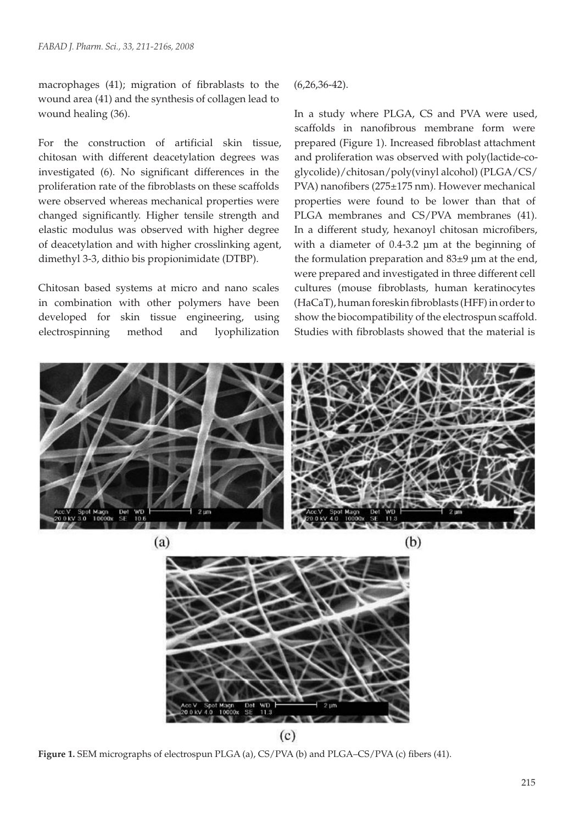macrophages (41); migration of fibrablasts to the wound area (41) and the synthesis of collagen lead to wound healing (36).

For the construction of artificial skin tissue, chitosan with different deacetylation degrees was investigated (6). No significant differences in the proliferation rate of the fibroblasts on these scaffolds were observed whereas mechanical properties were changed significantly. Higher tensile strength and elastic modulus was observed with higher degree of deacetylation and with higher crosslinking agent, dimethyl 3-3, dithio bis propionimidate (DTBP).

Chitosan based systems at micro and nano scales in combination with other polymers have been developed for skin tissue engineering, using electrospinning method and lyophilization (6,26,36-42).

In a study where PLGA, CS and PVA were used, scaffolds in nanofibrous membrane form were prepared (Figure 1). Increased fibroblast attachment and proliferation was observed with poly(lactide-coglycolide)/chitosan/poly(vinyl alcohol) (PLGA/CS/ PVA) nanofibers (275±175 nm). However mechanical properties were found to be lower than that of PLGA membranes and CS/PVA membranes (41). In a different study, hexanoyl chitosan microfibers, with a diameter of 0.4-3.2 µm at the beginning of the formulation preparation and  $83±9 \mu m$  at the end, were prepared and investigated in three different cell cultures (mouse fibroblasts, human keratinocytes (HaCaT), human foreskin fibroblasts (HFF) in order to show the biocompatibility of the electrospun scaffold. Studies with fibroblasts showed that the material is



**Figure 1.** SEM micrographs of electrospun PLGA (a), CS/PVA (b) and PLGA–CS/PVA (c) fibers (41).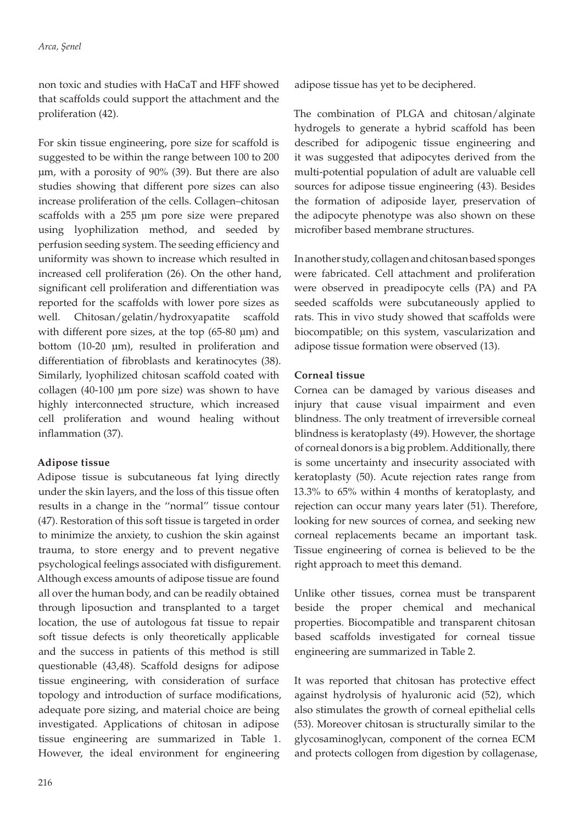non toxic and studies with HaCaT and HFF showed that scaffolds could support the attachment and the proliferation (42).

For skin tissue engineering, pore size for scaffold is suggested to be within the range between 100 to 200 µm, with a porosity of 90% (39). But there are also studies showing that different pore sizes can also increase proliferation of the cells. Collagen–chitosan scaffolds with a 255 µm pore size were prepared using lyophilization method, and seeded by perfusion seeding system. The seeding efficiency and uniformity was shown to increase which resulted in increased cell proliferation (26). On the other hand, significant cell proliferation and differentiation was reported for the scaffolds with lower pore sizes as well. Chitosan/gelatin/hydroxyapatite scaffold with different pore sizes, at the top (65-80 µm) and bottom (10-20 µm), resulted in proliferation and differentiation of fibroblasts and keratinocytes (38). Similarly, lyophilized chitosan scaffold coated with collagen (40-100 µm pore size) was shown to have highly interconnected structure, which increased cell proliferation and wound healing without inflammation (37).

# **Adipose tissue**

Adipose tissue is subcutaneous fat lying directly under the skin layers, and the loss of this tissue often results in a change in the ''normal'' tissue contour (47). Restoration of this soft tissue is targeted in order to minimize the anxiety, to cushion the skin against trauma, to store energy and to prevent negative psychological feelings associated with disfigurement. Although excess amounts of adipose tissue are found all over the human body, and can be readily obtained through liposuction and transplanted to a target location, the use of autologous fat tissue to repair soft tissue defects is only theoretically applicable and the success in patients of this method is still questionable (43,48). Scaffold designs for adipose tissue engineering, with consideration of surface topology and introduction of surface modifications, adequate pore sizing, and material choice are being investigated. Applications of chitosan in adipose tissue engineering are summarized in Table 1. However, the ideal environment for engineering

adipose tissue has yet to be deciphered.

The combination of PLGA and chitosan/alginate hydrogels to generate a hybrid scaffold has been described for adipogenic tissue engineering and it was suggested that adipocytes derived from the multi-potential population of adult are valuable cell sources for adipose tissue engineering (43). Besides the formation of adiposide layer, preservation of the adipocyte phenotype was also shown on these microfiber based membrane structures.

In another study, collagen and chitosan based sponges were fabricated. Cell attachment and proliferation were observed in preadipocyte cells (PA) and PA seeded scaffolds were subcutaneously applied to rats. This in vivo study showed that scaffolds were biocompatible; on this system, vascularization and adipose tissue formation were observed (13).

# **Corneal tissue**

Cornea can be damaged by various diseases and injury that cause visual impairment and even blindness. The only treatment of irreversible corneal blindness is keratoplasty (49). However, the shortage of corneal donors is a big problem. Additionally, there is some uncertainty and insecurity associated with keratoplasty (50). Acute rejection rates range from 13.3% to 65% within 4 months of keratoplasty, and rejection can occur many years later (51). Therefore, looking for new sources of cornea, and seeking new corneal replacements became an important task. Tissue engineering of cornea is believed to be the right approach to meet this demand.

Unlike other tissues, cornea must be transparent beside the proper chemical and mechanical properties. Biocompatible and transparent chitosan based scaffolds investigated for corneal tissue engineering are summarized in Table 2.

It was reported that chitosan has protective effect against hydrolysis of hyaluronic acid (52), which also stimulates the growth of corneal epithelial cells (53). Moreover chitosan is structurally similar to the glycosaminoglycan, component of the cornea ECM and protects collogen from digestion by collagenase,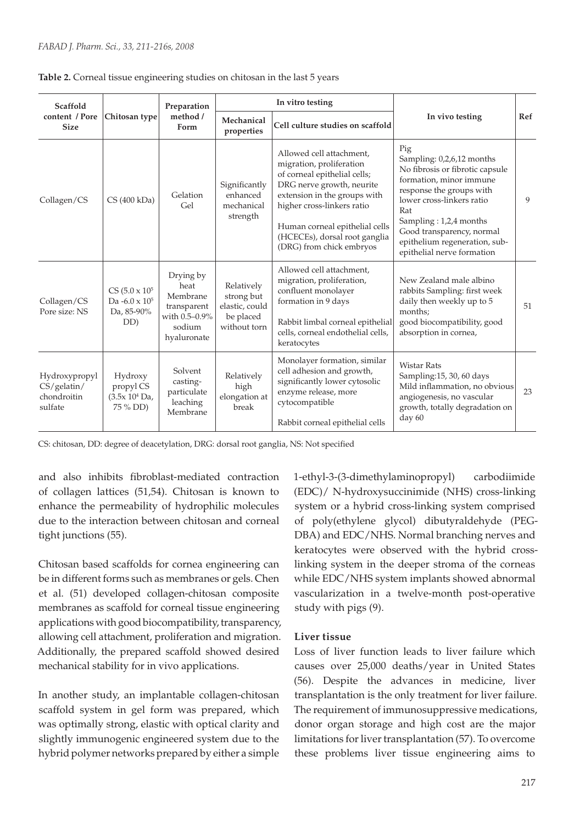| Scaffold                                               |                                                                     | Preparation                                                                            |                                                                         | In vitro testing                                                                                                                                                                                                                                                               |                                                                                                                                                                                                                                                                                      |    |
|--------------------------------------------------------|---------------------------------------------------------------------|----------------------------------------------------------------------------------------|-------------------------------------------------------------------------|--------------------------------------------------------------------------------------------------------------------------------------------------------------------------------------------------------------------------------------------------------------------------------|--------------------------------------------------------------------------------------------------------------------------------------------------------------------------------------------------------------------------------------------------------------------------------------|----|
| content / Pore<br><b>Size</b>                          | Chitosan type                                                       | method /<br>Form                                                                       | Mechanical<br>properties                                                | Cell culture studies on scaffold                                                                                                                                                                                                                                               | In vivo testing                                                                                                                                                                                                                                                                      |    |
| Collagen/CS                                            | CS(400 kDa)                                                         | Gelation<br>Gel                                                                        | Significantly<br>enhanced<br>mechanical<br>strength                     | Allowed cell attachment,<br>migration, proliferation<br>of corneal epithelial cells;<br>DRG nerve growth, neurite<br>extension in the groups with<br>higher cross-linkers ratio<br>Human corneal epithelial cells<br>(HCECEs), dorsal root ganglia<br>(DRG) from chick embryos | Pig<br>Sampling: 0,2,6,12 months<br>No fibrosis or fibrotic capsule<br>formation, minor immune<br>response the groups with<br>lower cross-linkers ratio<br>Rat<br>Sampling: 1,2,4 months<br>Good transparency, normal<br>epithelium regeneration, sub-<br>epithelial nerve formation | 9  |
| Collagen/CS<br>Pore size: NS                           | $CS (5.0 \times 10^5$<br>Da $-6.0 \times 10^5$<br>Da, 85-90%<br>DD) | Drying by<br>heat<br>Membrane<br>transparent<br>with 0.5-0.9%<br>sodium<br>hyaluronate | Relatively<br>strong but<br>elastic, could<br>be placed<br>without torn | Allowed cell attachment.<br>migration, proliferation,<br>confluent monolayer<br>formation in 9 days<br>Rabbit limbal corneal epithelial<br>cells, corneal endothelial cells,<br>keratocytes                                                                                    | New Zealand male albino<br>rabbits Sampling: first week<br>daily then weekly up to 5<br>months;<br>good biocompatibility, good<br>absorption in cornea,                                                                                                                              | 51 |
| Hydroxypropyl<br>CS/gelatin/<br>chondroitin<br>sulfate | Hydroxy<br>propyl CS<br>(3.5x 10 <sup>4</sup> Da,<br>75 % DD)       | Solvent<br>casting-<br>particulate<br>leaching<br>Membrane                             | Relatively<br>high<br>elongation at<br>break                            | Monolayer formation, similar<br>cell adhesion and growth,<br>significantly lower cytosolic<br>enzyme release, more<br>cytocompatible<br>Rabbit corneal epithelial cells                                                                                                        | <b>Wistar Rats</b><br>Sampling:15, 30, 60 days<br>Mild inflammation, no obvious<br>angiogenesis, no vascular<br>growth, totally degradation on<br>day 60                                                                                                                             | 23 |

| Table 2. Corneal tissue engineering studies on chitosan in the last 5 years |  |  |  |  |
|-----------------------------------------------------------------------------|--|--|--|--|
|                                                                             |  |  |  |  |

CS: chitosan, DD: degree of deacetylation, DRG: dorsal root ganglia, NS: Not specified

and also inhibits fibroblast-mediated contraction of collagen lattices (51,54). Chitosan is known to enhance the permeability of hydrophilic molecules due to the interaction between chitosan and corneal tight junctions (55).

Chitosan based scaffolds for cornea engineering can be in different forms such as membranes or gels. Chen et al. (51) developed collagen-chitosan composite membranes as scaffold for corneal tissue engineering applications with good biocompatibility, transparency, allowing cell attachment, proliferation and migration. Additionally, the prepared scaffold showed desired mechanical stability for in vivo applications.

In another study, an implantable collagen-chitosan scaffold system in gel form was prepared, which was optimally strong, elastic with optical clarity and slightly immunogenic engineered system due to the hybrid polymer networks prepared by either a simple

1-ethyl-3-(3-dimethylaminopropyl) carbodiimide (EDC)/ N-hydroxysuccinimide (NHS) cross-linking system or a hybrid cross-linking system comprised of poly(ethylene glycol) dibutyraldehyde (PEG-DBA) and EDC/NHS. Normal branching nerves and keratocytes were observed with the hybrid crosslinking system in the deeper stroma of the corneas while EDC/NHS system implants showed abnormal vascularization in a twelve-month post-operative study with pigs (9).

# **Liver tissue**

Loss of liver function leads to liver failure which causes over 25,000 deaths/year in United States (56). Despite the advances in medicine, liver transplantation is the only treatment for liver failure. The requirement of immunosuppressive medications, donor organ storage and high cost are the major limitations for liver transplantation (57). To overcome these problems liver tissue engineering aims to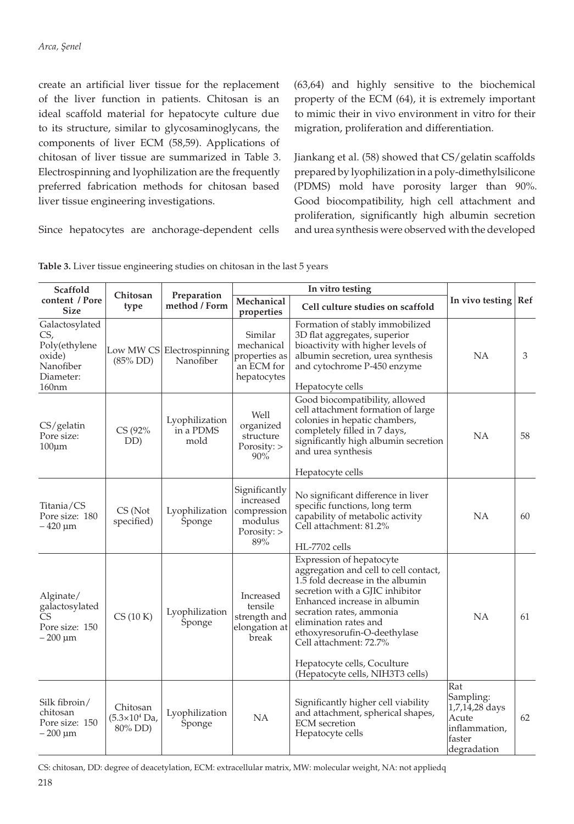create an artificial liver tissue for the replacement of the liver function in patients. Chitosan is an ideal scaffold material for hepatocyte culture due to its structure, similar to glycosaminoglycans, the components of liver ECM (58,59). Applications of chitosan of liver tissue are summarized in Table 3. Electrospinning and lyophilization are the frequently preferred fabrication methods for chitosan based liver tissue engineering investigations.

Since hepatocytes are anchorage-dependent cells

(63,64) and highly sensitive to the biochemical property of the ECM (64), it is extremely important to mimic their in vivo environment in vitro for their migration, proliferation and differentiation.

Jiankang et al. (58) showed that CS/gelatin scaffolds prepared by lyophilization in a poly-dimethylsilicone (PDMS) mold have porosity larger than 90%. Good biocompatibility, high cell attachment and proliferation, significantly high albumin secretion and urea synthesis were observed with the developed

| Scaffold                                                                                        |                                                       |                                        |                                                                            |                                                                                                                                                                                                                                                                                                                                                            |                                                                                       |    |  |
|-------------------------------------------------------------------------------------------------|-------------------------------------------------------|----------------------------------------|----------------------------------------------------------------------------|------------------------------------------------------------------------------------------------------------------------------------------------------------------------------------------------------------------------------------------------------------------------------------------------------------------------------------------------------------|---------------------------------------------------------------------------------------|----|--|
| content / Pore<br><b>Size</b>                                                                   | Chitosan<br>type                                      | Preparation<br>method / Form           | Mechanical<br>properties                                                   | Cell culture studies on scaffold                                                                                                                                                                                                                                                                                                                           | In vivo testing   Ref                                                                 |    |  |
| Galactosylated<br>CS,<br>Poly(ethylene<br>oxide)<br>Nanofiber<br>Diameter:<br>160 <sub>nm</sub> | $(85\%$ DD)                                           | Low MW CS Electrospinning<br>Nanofiber | Similar<br>mechanical<br>properties as<br>an ECM for<br>hepatocytes        | Formation of stably immobilized<br>3D flat aggregates, superior<br>bioactivity with higher levels of<br>albumin secretion, urea synthesis<br>and cytochrome P-450 enzyme<br>Hepatocyte cells                                                                                                                                                               | <b>NA</b>                                                                             | 3  |  |
| CS/gelatin<br>Pore size:<br>$100 \mu m$                                                         | CS (92%<br>DD)                                        | Lyophilization<br>in a PDMS<br>mold    | Well<br>organized<br>structure<br>Porosity:<br>90%                         | Good biocompatibility, allowed<br>cell attachment formation of large<br>colonies in hepatic chambers,<br>completely filled in 7 days,<br>significantly high albumin secretion<br>and urea synthesis                                                                                                                                                        | <b>NA</b>                                                                             | 58 |  |
| Titania/CS<br>Pore size: 180<br>$-420 \mu m$                                                    | CS (Not<br>specified)                                 | Lyophilization<br>Sponge               | Significantly<br>increased<br>compression<br>modulus<br>Porosity: ><br>89% | Hepatocyte cells<br>No significant difference in liver<br>specific functions, long term<br>capability of metabolic activity<br>Cell attachment: 81.2%<br>HL-7702 cells                                                                                                                                                                                     | NA                                                                                    | 60 |  |
| Alginate/<br>galactosylated<br>CS<br>Pore size: 150<br>$-200 \mu m$                             | CS(10 K)                                              | Lyophilization<br>Sponge               | Increased<br>tensile<br>strength and<br>elongation at<br>break             | Expression of hepatocyte<br>aggregation and cell to cell contact,<br>1.5 fold decrease in the albumin<br>secretion with a GJIC inhibitor<br>Enhanced increase in albumin<br>secration rates, ammonia<br>elimination rates and<br>ethoxyresorufin-O-deethylase<br>Cell attachment: 72.7%<br>Hepatocyte cells, Coculture<br>(Hepatocyte cells, NIH3T3 cells) | <b>NA</b>                                                                             | 61 |  |
| Silk fibroin/<br>chitosan<br>Pore size: 150<br>$-200 \mu m$                                     | Chitosan<br>$(5.3 \times 10^4 \text{ Da})$<br>80% DD) | Lyophilization<br>Sponge               | <b>NA</b>                                                                  | Significantly higher cell viability<br>and attachment, spherical shapes,<br><b>ECM</b> secretion<br>Hepatocyte cells                                                                                                                                                                                                                                       | Rat<br>Sampling:<br>1,7,14,28 days<br>Acute<br>inflammation,<br>faster<br>degradation | 62 |  |

Table 3. Liver tissue engineering studies on chitosan in the last 5 years

CS: chitosan, DD: degree of deacetylation, ECM: extracellular matrix, MW: molecular weight, NA: not appliedq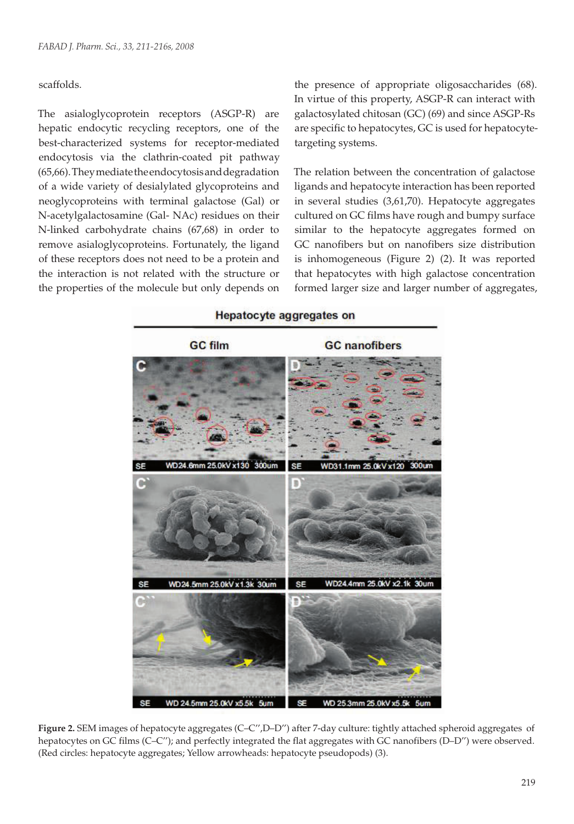## scaffolds.

The asialoglycoprotein receptors (ASGP-R) are hepatic endocytic recycling receptors, one of the best-characterized systems for receptor-mediated endocytosis via the clathrin-coated pit pathway (65,66). They mediate the endocytosis and degradation of a wide variety of desialylated glycoproteins and neoglycoproteins with terminal galactose (Gal) or N-acetylgalactosamine (Gal- NAc) residues on their N-linked carbohydrate chains (67,68) in order to remove asialoglycoproteins. Fortunately, the ligand of these receptors does not need to be a protein and the interaction is not related with the structure or the properties of the molecule but only depends on

the presence of appropriate oligosaccharides (68). In virtue of this property, ASGP-R can interact with galactosylated chitosan (GC) (69) and since ASGP-Rs are specific to hepatocytes, GC is used for hepatocytetargeting systems.

The relation between the concentration of galactose ligands and hepatocyte interaction has been reported in several studies (3,61,70). Hepatocyte aggregates cultured on GC films have rough and bumpy surface similar to the hepatocyte aggregates formed on GC nanofibers but on nanofibers size distribution is inhomogeneous (Figure 2) (2). It was reported that hepatocytes with high galactose concentration formed larger size and larger number of aggregates,



**Figure 2.** SEM images of hepatocyte aggregates (C–C'',D–D'') after 7-day culture: tightly attached spheroid aggregates of hepatocytes on GC films (C–C"); and perfectly integrated the flat aggregates with GC nanofibers (D–D") were observed. (Red circles: hepatocyte aggregates; Yellow arrowheads: hepatocyte pseudopods) (3).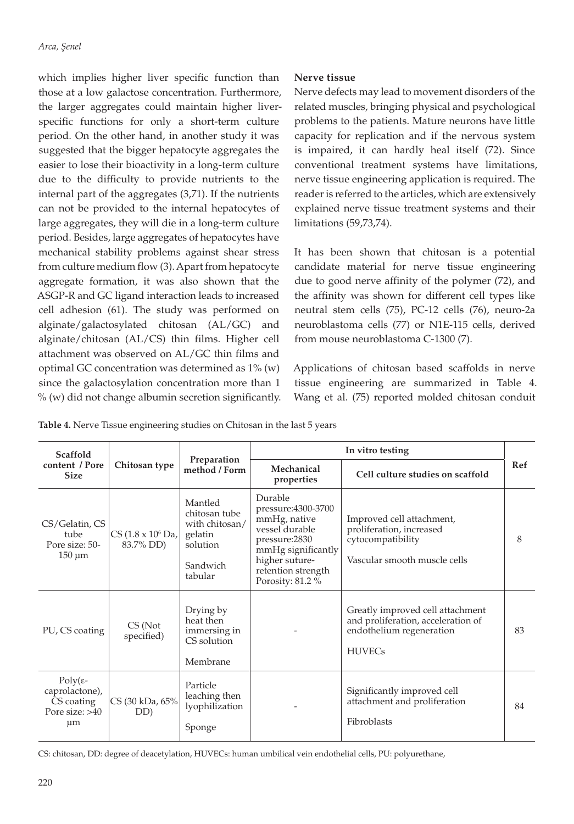which implies higher liver specific function than those at a low galactose concentration. Furthermore, the larger aggregates could maintain higher liverspecific functions for only a short-term culture period. On the other hand, in another study it was suggested that the bigger hepatocyte aggregates the easier to lose their bioactivity in a long-term culture due to the difficulty to provide nutrients to the internal part of the aggregates (3,71). If the nutrients can not be provided to the internal hepatocytes of large aggregates, they will die in a long-term culture period. Besides, large aggregates of hepatocytes have mechanical stability problems against shear stress from culture medium flow (3). Apart from hepatocyte aggregate formation, it was also shown that the ASGP-R and GC ligand interaction leads to increased cell adhesion (61). The study was performed on alginate/galactosylated chitosan (AL/GC) and alginate/chitosan (AL/CS) thin films. Higher cell attachment was observed on AL/GC thin films and optimal GC concentration was determined as 1% (w) since the galactosylation concentration more than 1 % (w) did not change albumin secretion significantly.

# **Nerve tissue**

Nerve defects may lead to movement disorders of the related muscles, bringing physical and psychological problems to the patients. Mature neurons have little capacity for replication and if the nervous system is impaired, it can hardly heal itself (72). Since conventional treatment systems have limitations, nerve tissue engineering application is required. The reader is referred to the articles, which are extensively explained nerve tissue treatment systems and their limitations (59,73,74).

It has been shown that chitosan is a potential candidate material for nerve tissue engineering due to good nerve affinity of the polymer (72), and the affinity was shown for different cell types like neutral stem cells (75), PC-12 cells (76), neuro-2a neuroblastoma cells (77) or N1E-115 cells, derived from mouse neuroblastoma C-1300 (7).

Applications of chitosan based scaffolds in nerve tissue engineering are summarized in Table 4. Wang et al. (75) reported molded chitosan conduit

**Table 4.** Nerve Tissue engineering studies on Chitosan in the last 5 years

| Scaffold                                                                          |                                            |                                                                                          | In vitro testing                                                                                                                                                   |                                                                                                                     |            |  |  |
|-----------------------------------------------------------------------------------|--------------------------------------------|------------------------------------------------------------------------------------------|--------------------------------------------------------------------------------------------------------------------------------------------------------------------|---------------------------------------------------------------------------------------------------------------------|------------|--|--|
| content / Pore<br><b>Size</b>                                                     | Chitosan type                              | Preparation<br>method / Form                                                             | Mechanical<br>properties                                                                                                                                           | Cell culture studies on scaffold                                                                                    | <b>Ref</b> |  |  |
| CS/Gelatin, CS<br>tube<br>Pore size: 50-<br>$150 \mu m$                           | CS (1.8 x 10 <sup>6</sup> Da,<br>83.7% DD) | Mantled<br>chitosan tube<br>with chitosan/<br>gelatin<br>solution<br>Sandwich<br>tabular | Durable<br>pressure:4300-3700<br>mmHg, native<br>vessel durable<br>pressure:2830<br>mmHg significantly<br>higher suture-<br>retention strength<br>Porosity: 81.2 % | Improved cell attachment,<br>proliferation, increased<br>cytocompatibility<br>Vascular smooth muscle cells          | 8          |  |  |
| PU, CS coating                                                                    | CS (Not<br>specified)                      | Drying by<br>heat then<br>immersing in<br>CS solution<br>Membrane                        |                                                                                                                                                                    | Greatly improved cell attachment<br>and proliferation, acceleration of<br>endothelium regeneration<br><b>HUVECs</b> | 83         |  |  |
| $Poly(\varepsilon$ -<br>caprolactone),<br>CS coating<br>Pore size: >40<br>$\mu$ m | CS (30 kDa, 65%<br>DD)                     | Particle<br>leaching then<br>lyophilization<br>Sponge                                    |                                                                                                                                                                    | Significantly improved cell<br>attachment and proliferation<br>Fibroblasts                                          | 84         |  |  |

CS: chitosan, DD: degree of deacetylation, HUVECs: human umbilical vein endothelial cells, PU: polyurethane,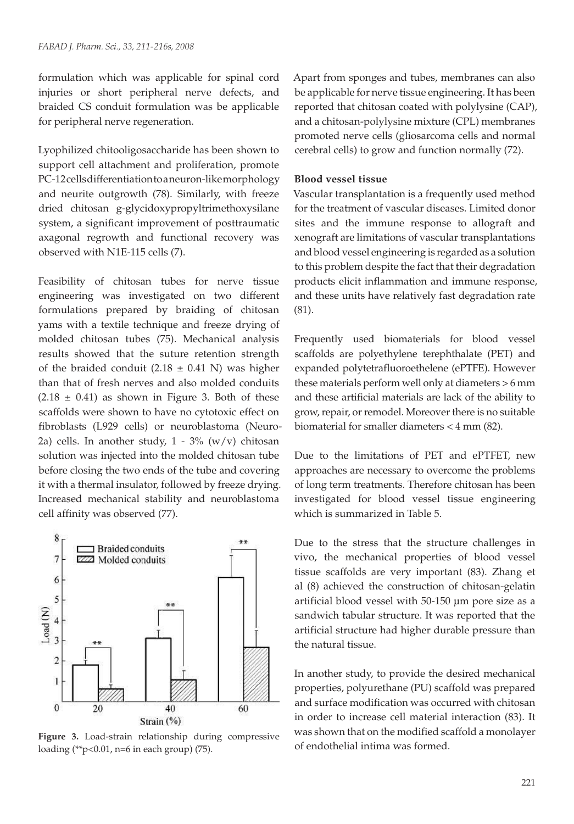formulation which was applicable for spinal cord injuries or short peripheral nerve defects, and braided CS conduit formulation was be applicable for peripheral nerve regeneration.

Lyophilized chitooligosaccharide has been shown to support cell attachment and proliferation, promote PC-12 cells differentiation to a neuron-like morphology and neurite outgrowth (78). Similarly, with freeze dried chitosan g-glycidoxypropyltrimethoxysilane system, a significant improvement of posttraumatic axagonal regrowth and functional recovery was observed with N1E-115 cells (7).

Feasibility of chitosan tubes for nerve tissue engineering was investigated on two different formulations prepared by braiding of chitosan yams with a textile technique and freeze drying of molded chitosan tubes (75). Mechanical analysis results showed that the suture retention strength of the braided conduit (2.18  $\pm$  0.41 N) was higher than that of fresh nerves and also molded conduits  $(2.18 \pm 0.41)$  as shown in Figure 3. Both of these scaffolds were shown to have no cytotoxic effect on fibroblasts (L929 cells) or neuroblastoma (Neuro-2a) cells. In another study,  $1 - 3\%$  (w/v) chitosan solution was injected into the molded chitosan tube before closing the two ends of the tube and covering it with a thermal insulator, followed by freeze drying. Increased mechanical stability and neuroblastoma cell affinity was observed (77).



**Figure 3.** Load-strain relationship during compressive loading (\*\*p<0.01, n=6 in each group) (75).

Apart from sponges and tubes, membranes can also be applicable for nerve tissue engineering. It has been reported that chitosan coated with polylysine (CAP), and a chitosan-polylysine mixture (CPL) membranes promoted nerve cells (gliosarcoma cells and normal cerebral cells) to grow and function normally (72).

## **Blood vessel tissue**

Vascular transplantation is a frequently used method for the treatment of vascular diseases. Limited donor sites and the immune response to allograft and xenograft are limitations of vascular transplantations and blood vessel engineering is regarded as a solution to this problem despite the fact that their degradation products elicit inflammation and immune response, and these units have relatively fast degradation rate (81).

Frequently used biomaterials for blood vessel scaffolds are polyethylene terephthalate (PET) and expanded polytetrafluoroethelene (ePTFE). However these materials perform well only at diameters > 6 mm and these artificial materials are lack of the ability to grow, repair, or remodel. Moreover there is no suitable biomaterial for smaller diameters < 4 mm (82).

Due to the limitations of PET and ePTFET, new approaches are necessary to overcome the problems of long term treatments. Therefore chitosan has been investigated for blood vessel tissue engineering which is summarized in Table 5.

Due to the stress that the structure challenges in vivo, the mechanical properties of blood vessel tissue scaffolds are very important (83). Zhang et al (8) achieved the construction of chitosan-gelatin artificial blood vessel with 50-150 μm pore size as a sandwich tabular structure. It was reported that the artificial structure had higher durable pressure than the natural tissue.

In another study, to provide the desired mechanical properties, polyurethane (PU) scaffold was prepared and surface modification was occurred with chitosan in order to increase cell material interaction (83). It was shown that on the modified scaffold a monolayer of endothelial intima was formed.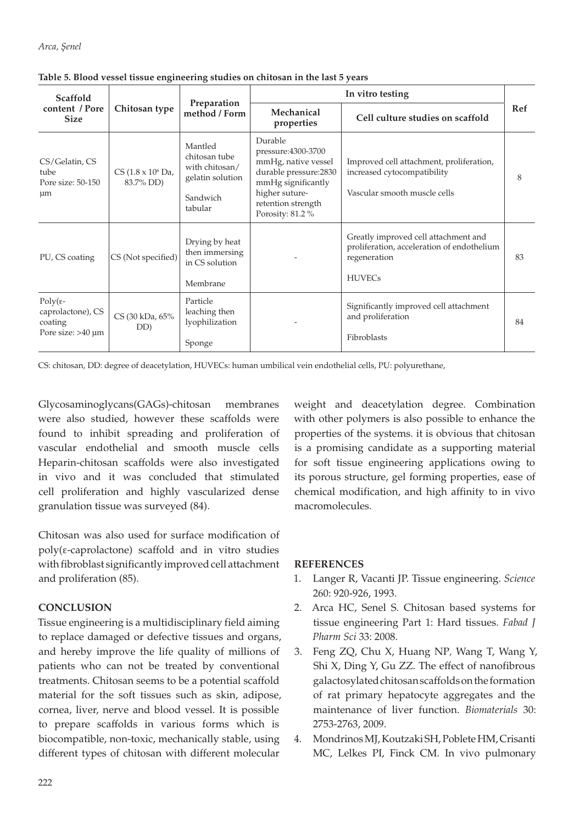| <b>Scaffold</b>                                                           |                                                |                                                                                       | In vitro testing                                                                                                                                                |                                                                                                                     |     |  |
|---------------------------------------------------------------------------|------------------------------------------------|---------------------------------------------------------------------------------------|-----------------------------------------------------------------------------------------------------------------------------------------------------------------|---------------------------------------------------------------------------------------------------------------------|-----|--|
| content / Pore<br><b>Size</b>                                             | Chitosan type                                  | Preparation<br>method / Form                                                          | Mechanical<br>properties                                                                                                                                        | Cell culture studies on scaffold                                                                                    | Ref |  |
| CS/Gelatin, CS<br>tube<br>Pore size: 50-150<br>$\mu$ m                    | $CS (1.8 \times 10^6 \text{ Da})$<br>83.7% DD) | Mantled<br>chitosan tube<br>with chitosan/<br>gelatin solution<br>Sandwich<br>tabular | Durable<br>pressure:4300-3700<br>mmHg, native vessel<br>durable pressure:2830<br>mmHg significantly<br>higher suture-<br>retention strength<br>Porosity: 81.2 % | Improved cell attachment, proliferation,<br>increased cytocompatibility<br>Vascular smooth muscle cells             | 8   |  |
| PU, CS coating                                                            | CS (Not specified)                             | Drying by heat<br>then immersing<br>in CS solution<br>Membrane                        |                                                                                                                                                                 | Greatly improved cell attachment and<br>proliferation, acceleration of endothelium<br>regeneration<br><b>HUVECs</b> | 83  |  |
| $Poly(\varepsilon$ -<br>caprolactone), CS<br>coating<br>Pore size: >40 µm | CS (30 kDa, 65%<br>DD)                         | Particle<br>leaching then<br>lyophilization<br>Sponge                                 |                                                                                                                                                                 | Significantly improved cell attachment<br>and proliferation<br>Fibroblasts                                          | 84  |  |

**Table 5. Blood vessel tissue engineering studies on chitosan in the last 5 years**

CS: chitosan, DD: degree of deacetylation, HUVECs: human umbilical vein endothelial cells, PU: polyurethane,

Glycosaminoglycans(GAGs)-chitosan membranes were also studied, however these scaffolds were found to inhibit spreading and proliferation of vascular endothelial and smooth muscle cells Heparin-chitosan scaffolds were also investigated in vivo and it was concluded that stimulated cell proliferation and highly vascularized dense granulation tissue was surveyed (84).

Chitosan was also used for surface modification of poly(ε-caprolactone) scaffold and in vitro studies with fibroblast significantly improved cell attachment and proliferation (85).

# **CONCLUSION**

Tissue engineering is a multidisciplinary field aiming to replace damaged or defective tissues and organs, and hereby improve the life quality of millions of patients who can not be treated by conventional treatments. Chitosan seems to be a potential scaffold material for the soft tissues such as skin, adipose, cornea, liver, nerve and blood vessel. It is possible to prepare scaffolds in various forms which is biocompatible, non-toxic, mechanically stable, using different types of chitosan with different molecular

weight and deacetylation degree. Combination with other polymers is also possible to enhance the properties of the systems. it is obvious that chitosan is a promising candidate as a supporting material for soft tissue engineering applications owing to its porous structure, gel forming properties, ease of chemical modification, and high affinity to in vivo macromolecules.

# **REFERENCES**

- 1. Langer R, Vacanti JP. Tissue engineering. *Science* 260: 920-926, 1993.
- 2. Arca HC, Senel S. Chitosan based systems for tissue engineering Part 1: Hard tissues. *Fabad J Pharm Sci* 33: 2008.
- 3. Feng ZQ, Chu X, Huang NP*,* Wang T, Wang Y, Shi X, Ding Y, Gu ZZ. The effect of nanofibrous galactosylated chitosan scaffolds on the formation of rat primary hepatocyte aggregates and the maintenance of liver function. *Biomaterials* 30: 2753-2763, 2009.
- 4. Mondrinos MJ, Koutzaki SH, Poblete HM, Crisanti MC, Lelkes PI, Finck CM. In vivo pulmonary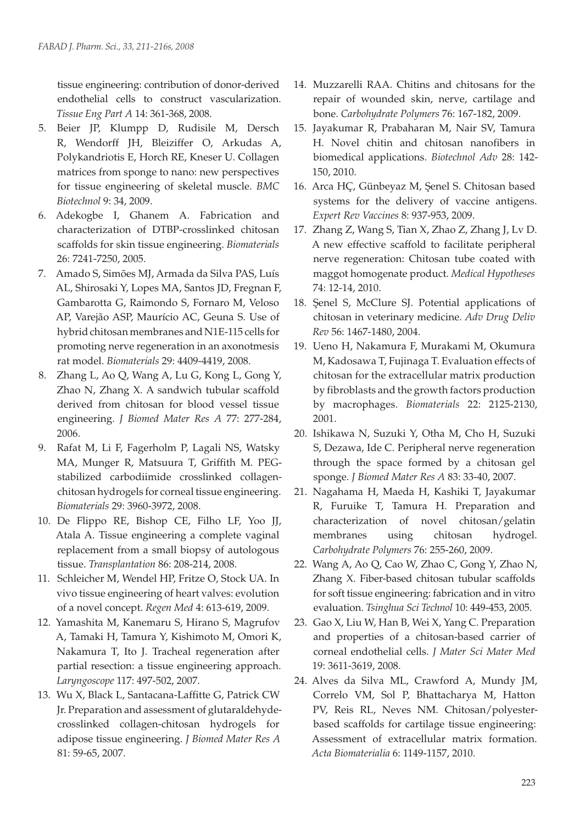tissue engineering: contribution of donor-derived endothelial cells to construct vascularization. *Tissue Eng Part A* 14: 361-368, 2008.

- 5. Beier JP, Klumpp D, Rudisile M, Dersch R, Wendorff JH, Bleiziffer O, Arkudas A, Polykandriotis E, Horch RE, Kneser U. Collagen matrices from sponge to nano: new perspectives for tissue engineering of skeletal muscle. *BMC Biotechnol* 9: 34, 2009.
- 6. Adekogbe I, Ghanem A. Fabrication and characterization of DTBP-crosslinked chitosan scaffolds for skin tissue engineering. *Biomaterials* 26: 7241-7250, 2005.
- 7. Amado S, Simões MJ, Armada da Silva PAS, Luís AL, Shirosaki Y, Lopes MA, Santos JD, Fregnan F, Gambarotta G, Raimondo S, Fornaro M, Veloso AP, Varejão ASP, Maurício AC, Geuna S. Use of hybrid chitosan membranes and N1E-115 cells for promoting nerve regeneration in an axonotmesis rat model. *Biomaterials* 29: 4409-4419, 2008.
- 8. Zhang L, Ao Q, Wang A, Lu G, Kong L, Gong Y, Zhao N, Zhang X. A sandwich tubular scaffold derived from chitosan for blood vessel tissue engineering. *J Biomed Mater Res A* 77: 277-284, 2006.
- 9. Rafat M, Li F, Fagerholm P, Lagali NS, Watsky MA, Munger R, Matsuura T, Griffith M. PEGstabilized carbodiimide crosslinked collagenchitosan hydrogels for corneal tissue engineering. *Biomaterials* 29: 3960-3972, 2008.
- 10. De Flippo RE, Bishop CE, Filho LF, Yoo JJ, Atala A. Tissue engineering a complete vaginal replacement from a small biopsy of autologous tissue. *Transplantation* 86: 208-214, 2008.
- 11. Schleicher M, Wendel HP, Fritze O, Stock UA. In vivo tissue engineering of heart valves: evolution of a novel concept. *Regen Med* 4: 613-619, 2009.
- 12. Yamashita M, Kanemaru S, Hirano S, Magrufov A, Tamaki H, Tamura Y, Kishimoto M, Omori K, Nakamura T, Ito J. Tracheal regeneration after partial resection: a tissue engineering approach. *Laryngoscope* 117: 497-502, 2007.
- 13. Wu X, Black L, Santacana-Laffitte G, Patrick CW Jr. Preparation and assessment of glutaraldehydecrosslinked collagen-chitosan hydrogels for adipose tissue engineering. *J Biomed Mater Res A*  81: 59-65, 2007.
- 14. Muzzarelli RAA. Chitins and chitosans for the repair of wounded skin, nerve, cartilage and bone. *Carbohydrate Polymers* 76: 167-182, 2009.
- 15. Jayakumar R, Prabaharan M, Nair SV, Tamura H. Novel chitin and chitosan nanofibers in biomedical applications. *Biotechnol Adv* 28: 142- 150, 2010.
- 16. Arca HÇ, Günbeyaz M, Şenel S. Chitosan based systems for the delivery of vaccine antigens. *Expert Rev Vaccines* 8: 937-953, 2009.
- 17. Zhang Z, Wang S, Tian X, Zhao Z, Zhang J, Lv D. A new effective scaffold to facilitate peripheral nerve regeneration: Chitosan tube coated with maggot homogenate product. *Medical Hypotheses* 74: 12-14, 2010.
- 18. Şenel S, McClure SJ. Potential applications of chitosan in veterinary medicine. *Adv Drug Deliv Rev* 56: 1467-1480, 2004.
- 19. Ueno H, Nakamura F, Murakami M, Okumura M, Kadosawa T, Fujinaga T. Evaluation effects of chitosan for the extracellular matrix production by fibroblasts and the growth factors production by macrophages. *Biomaterials* 22: 2125-2130, 2001.
- 20. Ishikawa N, Suzuki Y, Otha M, Cho H, Suzuki S, Dezawa, Ide C. Peripheral nerve regeneration through the space formed by a chitosan gel sponge. *J Biomed Mater Res A* 83: 33-40, 2007.
- 21. Nagahama H, Maeda H, Kashiki T, Jayakumar R, Furuike T, Tamura H. Preparation and characterization of novel chitosan/gelatin membranes using chitosan hydrogel. *Carbohydrate Polymers* 76: 255-260, 2009.
- 22. Wang A, Ao Q, Cao W, Zhao C, Gong Y, Zhao N, Zhang X. Fiber-based chitosan tubular scaffolds for soft tissue engineering: fabrication and in vitro evaluation. *Tsinghua Sci Technol* 10: 449-453, 2005.
- 23. Gao X, Liu W, Han B, Wei X, Yang C. Preparation and properties of a chitosan-based carrier of corneal endothelial cells. *J Mater Sci Mater Med* 19: 3611-3619, 2008.
- 24. Alves da Silva ML, Crawford A, Mundy JM, Correlo VM, Sol P, Bhattacharya M, Hatton PV, Reis RL, Neves NM. Chitosan/polyesterbased scaffolds for cartilage tissue engineering: Assessment of extracellular matrix formation. *Acta Biomaterialia* 6: 1149-1157, 2010.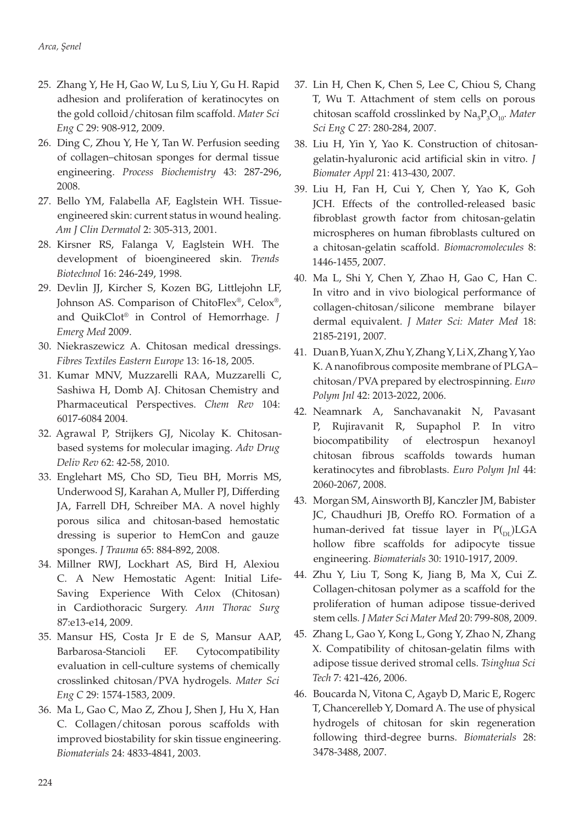- 25. Zhang Y, He H, Gao W, Lu S, Liu Y, Gu H. Rapid adhesion and proliferation of keratinocytes on the gold colloid/chitosan film scaffold. *Mater Sci Eng C* 29: 908-912, 2009.
- 26. Ding C, Zhou Y, He Y, Tan W. Perfusion seeding of collagen–chitosan sponges for dermal tissue engineering. *Process Biochemistry* 43: 287-296, 2008.
- 27. Bello YM, Falabella AF, Eaglstein WH. Tissueengineered skin: current status in wound healing. *Am J Clin Dermatol* 2: 305-313, 2001.
- 28. Kirsner RS, Falanga V, Eaglstein WH. The development of bioengineered skin. *Trends Biotechnol* 16: 246-249, 1998.
- 29. Devlin JJ, Kircher S, Kozen BG, Littlejohn LF, Johnson AS. Comparison of ChitoFlex®, Celox®, and QuikClot® in Control of Hemorrhage. *J Emerg Med* 2009.
- 30. Niekraszewicz A. Chitosan medical dressings. *Fibres Textiles Eastern Europe* 13: 16-18, 2005.
- 31. Kumar MNV, Muzzarelli RAA, Muzzarelli C, Sashiwa H, Domb AJ. Chitosan Chemistry and Pharmaceutical Perspectives. *Chem Rev* 104: 6017-6084 2004.
- 32. Agrawal P, Strijkers GJ, Nicolay K. Chitosanbased systems for molecular imaging. *Adv Drug Deliv Rev* 62: 42-58, 2010.
- 33. Englehart MS, Cho SD, Tieu BH, Morris MS, Underwood SJ, Karahan A, Muller PJ, Differding JA, Farrell DH, Schreiber MA. A novel highly porous silica and chitosan-based hemostatic dressing is superior to HemCon and gauze sponges. *J Trauma* 65: 884-892, 2008.
- 34. Millner RWJ, Lockhart AS, Bird H, Alexiou C. A New Hemostatic Agent: Initial Life-Saving Experience With Celox (Chitosan) in Cardiothoracic Surgery. *Ann Thorac Surg* 87:e13-e14, 2009.
- 35. Mansur HS, Costa Jr E de S, Mansur AAP, Barbarosa-Stancioli EF. Cytocompatibility evaluation in cell-culture systems of chemically crosslinked chitosan/PVA hydrogels. *Mater Sci Eng C* 29: 1574-1583, 2009.
- 36. Ma L, Gao C, Mao Z, Zhou J, Shen J, Hu X, Han C. Collagen/chitosan porous scaffolds with improved biostability for skin tissue engineering. *Biomaterials* 24: 4833-4841, 2003.
- 37. Lin H, Chen K, Chen S, Lee C, Chiou S, Chang T, Wu T. Attachment of stem cells on porous chitosan scaffold crosslinked by  $\text{Na}_5\text{P}_3\text{O}_{10}$ *. Mater Sci Eng C* 27: 280-284, 2007.
- 38. Liu H, Yin Y, Yao K. Construction of chitosangelatin-hyaluronic acid artificial skin in vitro. *J Biomater Appl* 21: 413-430, 2007.
- 39. Liu H, Fan H, Cui Y, Chen Y, Yao K, Goh JCH. Effects of the controlled-released basic fibroblast growth factor from chitosan-gelatin microspheres on human fibroblasts cultured on a chitosan-gelatin scaffold. *Biomacromolecules* 8: 1446-1455, 2007.
- 40. Ma L, Shi Y, Chen Y, Zhao H, Gao C, Han C. In vitro and in vivo biological performance of collagen-chitosan/silicone membrane bilayer dermal equivalent. *J Mater Sci: Mater Med* 18: 2185-2191, 2007.
- 41. Duan B, Yuan X, Zhu Y, Zhang Y, Li X, Zhang Y, Yao K. A nanofibrous composite membrane of PLGA– chitosan/PVA prepared by electrospinning. *Euro Polym Jnl* 42: 2013-2022, 2006.
- 42. Neamnark A, Sanchavanakit N, Pavasant P, Rujiravanit R, Supaphol P. In vitro biocompatibility of electrospun hexanoyl chitosan fibrous scaffolds towards human keratinocytes and fibroblasts. *Euro Polym Jnl* 44: 2060-2067, 2008.
- 43. Morgan SM, Ainsworth BJ, Kanczler JM, Babister JC, Chaudhuri JB, Oreffo RO. Formation of a human-derived fat tissue layer in  $P_{(DT)}LGA$ hollow fibre scaffolds for adipocyte tissue engineering. *Biomaterials* 30: 1910-1917, 2009.
- 44. Zhu Y, Liu T, Song K, Jiang B, Ma X, Cui Z. Collagen-chitosan polymer as a scaffold for the proliferation of human adipose tissue-derived stem cells*. J Mater Sci Mater Med* 20: 799-808, 2009.
- 45. Zhang L, Gao Y, Kong L, Gong Y, Zhao N, Zhang X. Compatibility of chitosan-gelatin films with adipose tissue derived stromal cells. *Tsinghua Sci Tech* 7: 421-426, 2006.
- 46. Boucarda N, Vitona C, Agayb D, Maric E, Rogerc T, Chancerelleb Y, Domard A. The use of physical hydrogels of chitosan for skin regeneration following third-degree burns. *Biomaterials* 28: 3478-3488, 2007.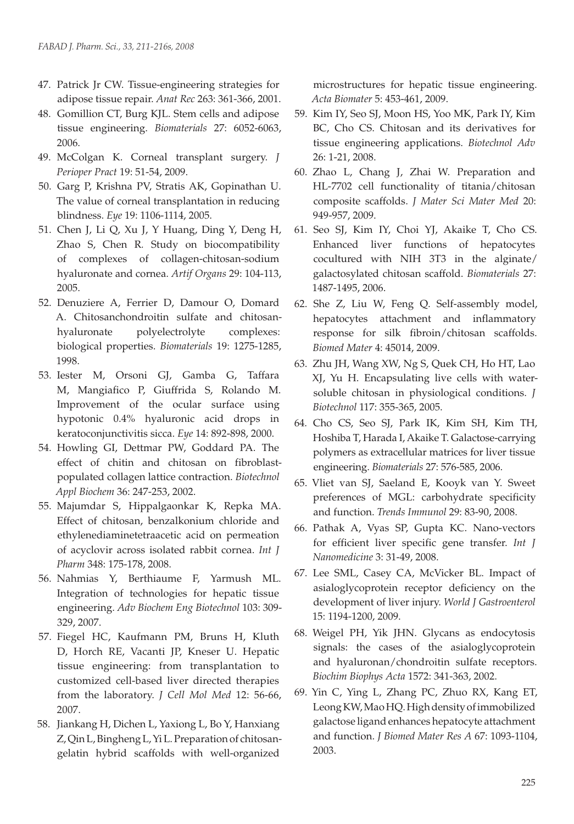- 47. Patrick Jr CW. Tissue-engineering strategies for adipose tissue repair. *Anat Rec* 263: 361-366, 2001.
- 48. Gomillion CT, Burg KJL. Stem cells and adipose tissue engineering. *Biomaterials* 27: 6052-6063, 2006.
- 49. McColgan K. Corneal transplant surgery. *J Perioper Pract* 19: 51-54, 2009.
- 50. Garg P, Krishna PV, Stratis AK, Gopinathan U. The value of corneal transplantation in reducing blindness. *Eye* 19: 1106-1114, 2005.
- 51. Chen J, Li Q, Xu J, Y Huang, Ding Y, Deng H, Zhao S, Chen R*.* Study on biocompatibility of complexes of collagen-chitosan-sodium hyaluronate and cornea. *Artif Organs* 29: 104-113, 2005.
- 52. Denuziere A, Ferrier D, Damour O, Domard A. Chitosanchondroitin sulfate and chitosanhyaluronate polyelectrolyte complexes: biological properties. *Biomaterials* 19: 1275-1285, 1998.
- 53. Iester M, Orsoni GJ, Gamba G, Taffara M, Mangiafico P, Giuffrida S, Rolando M. Improvement of the ocular surface using hypotonic 0.4% hyaluronic acid drops in keratoconjunctivitis sicca. *Eye* 14: 892-898, 2000.
- 54. Howling GI, Dettmar PW, Goddard PA. The effect of chitin and chitosan on fibroblastpopulated collagen lattice contraction. *Biotechnol Appl Biochem* 36: 247-253, 2002.
- 55. Majumdar S, Hippalgaonkar K, Repka MA. Effect of chitosan, benzalkonium chloride and ethylenediaminetetraacetic acid on permeation of acyclovir across isolated rabbit cornea. *Int J Pharm* 348: 175-178, 2008.
- 56. Nahmias Y, Berthiaume F, Yarmush ML. Integration of technologies for hepatic tissue engineering. *Adv Biochem Eng Biotechnol* 103: 309- 329, 2007.
- 57. Fiegel HC, Kaufmann PM, Bruns H, Kluth D, Horch RE, Vacanti JP, Kneser U. Hepatic tissue engineering: from transplantation to customized cell-based liver directed therapies from the laboratory. *J Cell Mol Med* 12: 56-66, 2007.
- 58. Jiankang H, Dichen L, Yaxiong L, Bo Y, Hanxiang Z, Qin L, Bingheng L, Yi L. Preparation of chitosangelatin hybrid scaffolds with well-organized

microstructures for hepatic tissue engineering. *Acta Biomater* 5: 453-461, 2009.

- 59. Kim IY, Seo SJ, Moon HS, Yoo MK, Park IY, Kim BC, Cho CS. Chitosan and its derivatives for tissue engineering applications. *Biotechnol Adv* 26: 1-21, 2008.
- 60. Zhao L, Chang J, Zhai W. Preparation and HL-7702 cell functionality of titania/chitosan composite scaffolds. *J Mater Sci Mater Med* 20: 949-957, 2009.
- 61. Seo SJ, Kim IY, Choi YJ, Akaike T, Cho CS. Enhanced liver functions of hepatocytes cocultured with NIH 3T3 in the alginate/ galactosylated chitosan scaffold. *Biomaterials* 27: 1487-1495, 2006.
- 62. She Z, Liu W, Feng Q. Self-assembly model, hepatocytes attachment and inflammatory response for silk fibroin/chitosan scaffolds. *Biomed Mater* 4: 45014, 2009.
- 63. Zhu JH, Wang XW, Ng S, Quek CH, Ho HT, Lao XJ, Yu H. Encapsulating live cells with watersoluble chitosan in physiological conditions. *J Biotechnol* 117: 355-365, 2005.
- 64. Cho CS, Seo SJ, Park IK, Kim SH, Kim TH, Hoshiba T, Harada I, Akaike T. Galactose-carrying polymers as extracellular matrices for liver tissue engineering. *Biomaterials* 27: 576-585, 2006.
- 65. Vliet van SJ, Saeland E, Kooyk van Y. Sweet preferences of MGL: carbohydrate specificity and function. *Trends Immunol* 29: 83-90, 2008.
- 66. Pathak A, Vyas SP, Gupta KC. Nano-vectors for efficient liver specific gene transfer. *Int J Nanomedicine* 3: 31-49, 2008.
- 67. Lee SML, Casey CA, McVicker BL. Impact of asialoglycoprotein receptor deficiency on the development of liver injury. *World J Gastroenterol* 15: 1194-1200, 2009.
- 68. Weigel PH, Yik JHN. Glycans as endocytosis signals: the cases of the asialoglycoprotein and hyaluronan/chondroitin sulfate receptors. *Biochim Biophys Acta* 1572: 341-363, 2002.
- 69. Yin C, Ying L, Zhang PC, Zhuo RX, Kang ET, Leong KW, Mao HQ. High density of immobilized galactose ligand enhances hepatocyte attachment and function. *J Biomed Mater Res A* 67: 1093-1104, 2003.